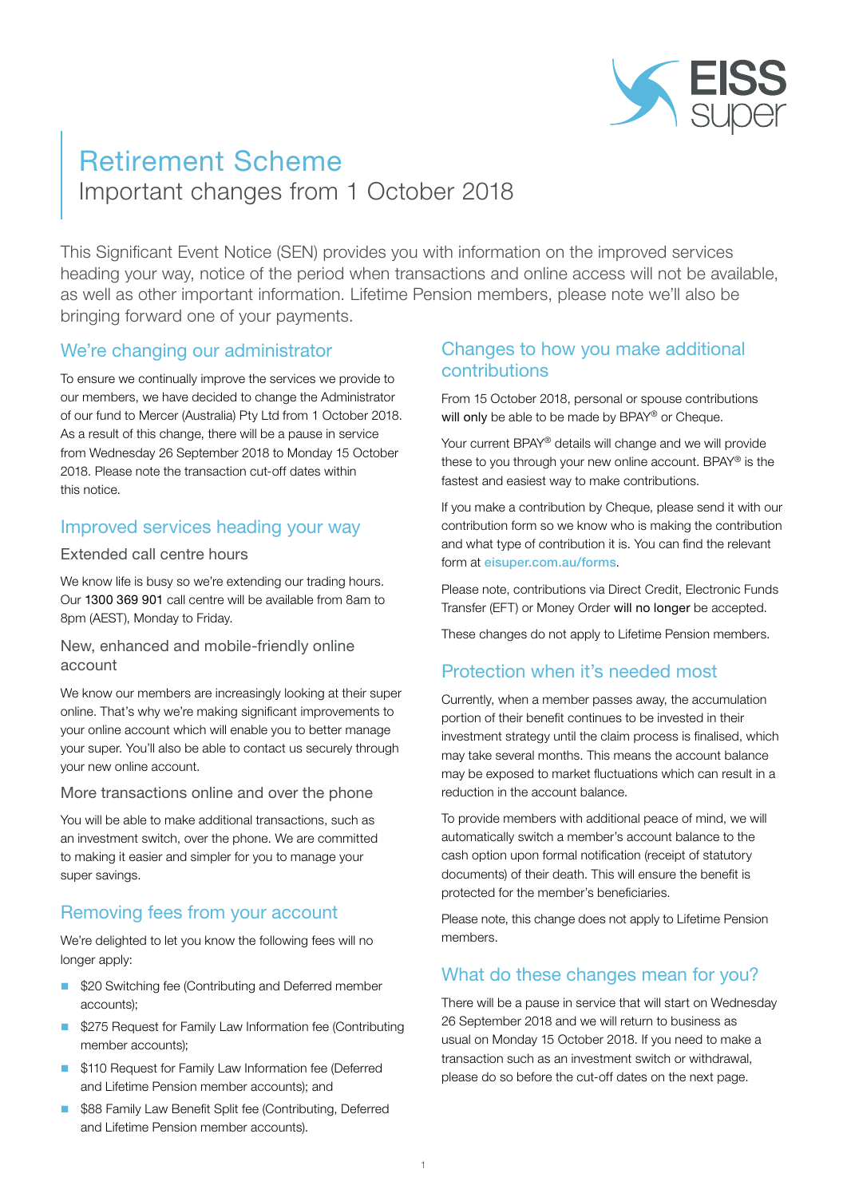

# Retirement Scheme

Important changes from 1 October 2018

This Significant Event Notice (SEN) provides you with information on the improved services heading your way, notice of the period when transactions and online access will not be available, as well as other important information. Lifetime Pension members, please note we'll also be bringing forward one of your payments.

## We're changing our administrator

To ensure we continually improve the services we provide to our members, we have decided to change the Administrator of our fund to Mercer (Australia) Pty Ltd from 1 October 2018. As a result of this change, there will be a pause in service from Wednesday 26 September 2018 to Monday 15 October 2018. Please note the transaction cut-off dates within this notice.

## Improved services heading your way

#### Extended call centre hours

We know life is busy so we're extending our trading hours. Our 1300 369 901 call centre will be available from 8am to 8pm (AEST), Monday to Friday.

#### New, enhanced and mobile-friendly online account

We know our members are increasingly looking at their super online. That's why we're making significant improvements to your online account which will enable you to better manage your super. You'll also be able to contact us securely through your new online account.

#### More transactions online and over the phone

You will be able to make additional transactions, such as an investment switch, over the phone. We are committed to making it easier and simpler for you to manage your super savings.

# Removing fees from your account

We're delighted to let you know the following fees will no longer apply:

- \$20 Switching fee (Contributing and Deferred member accounts);
- **5275 Request for Family Law Information fee (Contributing** member accounts);
- \$110 Request for Family Law Information fee (Deferred and Lifetime Pension member accounts); and
- \$88 Family Law Benefit Split fee (Contributing, Deferred and Lifetime Pension member accounts).

## Changes to how you make additional contributions

From 15 October 2018, personal or spouse contributions will only be able to be made by BPAY® or Cheque.

Your current BPAY® details will change and we will provide these to you through your new online account. BPAY® is the fastest and easiest way to make contributions.

If you make a contribution by Cheque, please send it with our contribution form so we know who is making the contribution and what type of contribution it is. You can find the relevant form at [eisuper.com.au/forms](https://www.eisuper.com.au/forms).

Please note, contributions via Direct Credit, Electronic Funds Transfer (EFT) or Money Order will no longer be accepted.

These changes do not apply to Lifetime Pension members.

# Protection when it's needed most

Currently, when a member passes away, the accumulation portion of their benefit continues to be invested in their investment strategy until the claim process is finalised, which may take several months. This means the account balance may be exposed to market fluctuations which can result in a reduction in the account balance.

To provide members with additional peace of mind, we will automatically switch a member's account balance to the cash option upon formal notification (receipt of statutory documents) of their death. This will ensure the benefit is protected for the member's beneficiaries.

Please note, this change does not apply to Lifetime Pension members.

#### What do these changes mean for you?

There will be a pause in service that will start on Wednesday 26 September 2018 and we will return to business as usual on Monday 15 October 2018. If you need to make a transaction such as an investment switch or withdrawal, please do so before the cut-off dates on the next page.